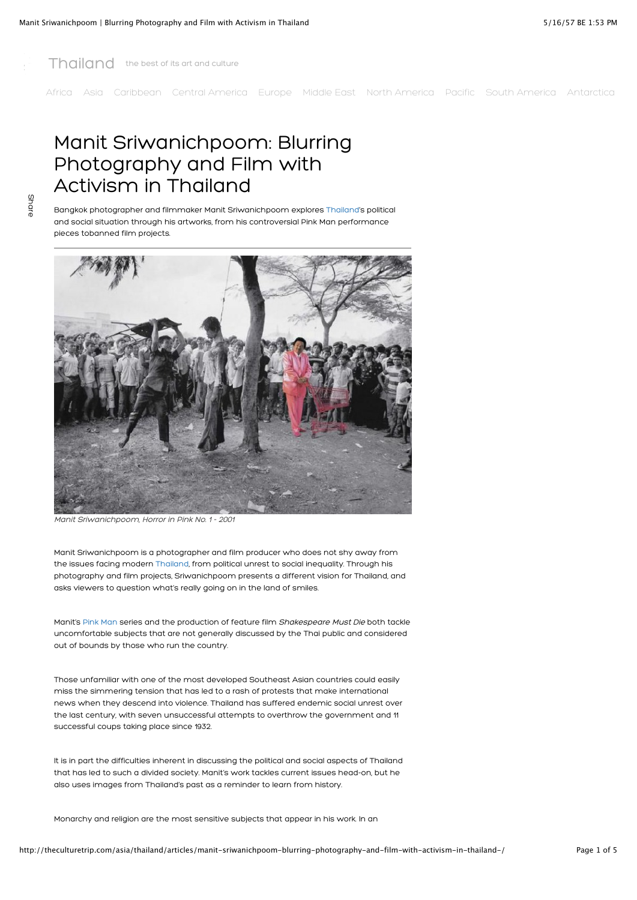

[Africa](http://theculturetrip.com/africa/) [Asia](http://theculturetrip.com/asia/) [Caribbean](http://theculturetrip.com/caribbean/) [Central America](http://theculturetrip.com/central-america/) [Europe](http://theculturetrip.com/europe/) [Middle East](http://theculturetrip.com/middle-east/) [North America](http://theculturetrip.com/north-america/) [Pacific](http://theculturetrip.com/pacific/) [South America](http://theculturetrip.com/south-america/) [Antarctica](http://theculturetrip.com/antarctica/)

# Manit Sriwanichpoom: Blurring Photography and Film with Activism in Thailand

Share

Bangkok photographer and filmmaker Manit Sriwanichpoom explores [Thailand'](http://theculturetrip.com/asia/thailand/)s political and social situation through his artworks, from his controversial Pink Man performance pieces tobanned film projects.



Manit Sriwanichpoom, Horror in Pink No. 1 - 2001

Manit Sriwanichpoom is a photographer and film producer who does not shy away from the issues facing modern [Thailand,](http://theculturetrip.com/asia/thailand/) from political unrest to social inequality. Through his photography and film projects, Sriwanichpoom presents a different vision for Thailand, and asks viewers to question what's really going on in the land of smiles.

Manit's [Pink Man](http://www.rama9art.org/manit_s/pink1.html) series and the production of feature film Shakespeare Must Die both tackle uncomfortable subjects that are not generally discussed by the Thai public and considered out of bounds by those who run the country.

Those unfamiliar with one of the most developed Southeast Asian countries could easily miss the simmering tension that has led to a rash of protests that make international news when they descend into violence. Thailand has suffered endemic social unrest over the last century, with seven unsuccessful attempts to overthrow the government and 11 successful coups taking place since 1932.

It is in part the difficulties inherent in discussing the political and social aspects of Thailand that has led to such a divided society. Manit's work tackles current issues head-on, but he also uses images from Thailand's past as a reminder to learn from history.

Monarchy and religion are the most sensitive subjects that appear in his work. In an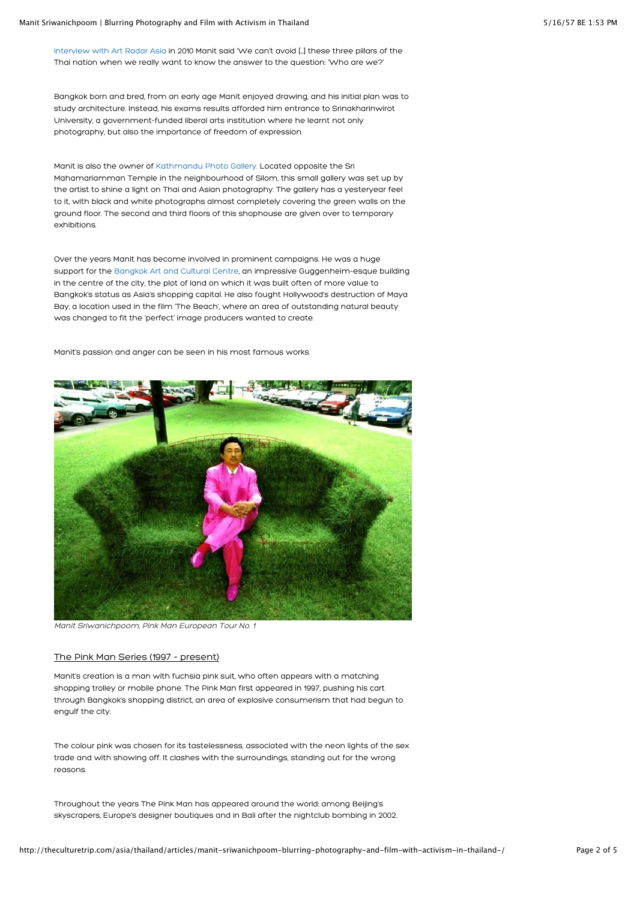[interview with Art Radar Asia](http://artradarjournal.com/2010/11/05/posing-phenomena-and-prophecies-in-pink-art-radar-interview-thai-artist-manit-sriwanichpoom/) in 2010 Manit said 'We can't avoid […] these three pillars of the Thai nation when we really want to know the answer to the question: 'Who are we?'

Bangkok born and bred, from an early age Manit enjoyed drawing, and his initial plan was to study architecture. Instead, his exams results afforded him entrance to Srinakharinwirot University, a government-funded liberal arts institution where he learnt not only photography, but also the importance of freedom of expression.

Manit is also the owner of [Kathmandu Photo Gallery.](http://www.kathmandu-bkk.com/) Located opposite the Sri Mahamariamman Temple in the neighbourhood of Silom, this small gallery was set up by the artist to shine a light on Thai and Asian photography. The gallery has a yesteryear feel to it, with black and white photographs almost completely covering the green walls on the ground floor. The second and third floors of this shophouse are given over to temporary exhibitions.

Over the years Manit has become involved in prominent campaigns. He was a huge support for the [Bangkok Art and Cultural Centre,](http://www.bacc.or.th/) an impressive Guggenheim-esque building in the centre of the city, the plot of land on which it was built often of more value to Bangkok's status as Asia's shopping capital. He also fought Hollywood's destruction of Maya Bay, a location used in the film 'The Beach', where an area of outstanding natural beauty was changed to fit the 'perfect' image producers wanted to create.

Manit's passion and anger can be seen in his most famous works.



Manit Sriwanichpoom, Pink Man European Tour No. 1

## The Pink Man Series (1997 – present)

Manit's creation is a man with fuchsia pink suit, who often appears with a matching shopping trolley or mobile phone. The Pink Man first appeared in 1997, pushing his cart through Bangkok's shopping district, an area of explosive consumerism that had begun to engulf the city.

The colour pink was chosen for its tastelessness, associated with the neon lights of the sex trade and with showing off. It clashes with the surroundings, standing out for the wrong reasons.

Throughout the years The Pink Man has appeared around the world: among Beijing's skyscrapers, Europe's designer boutiques and in Bali after the nightclub bombing in 2002.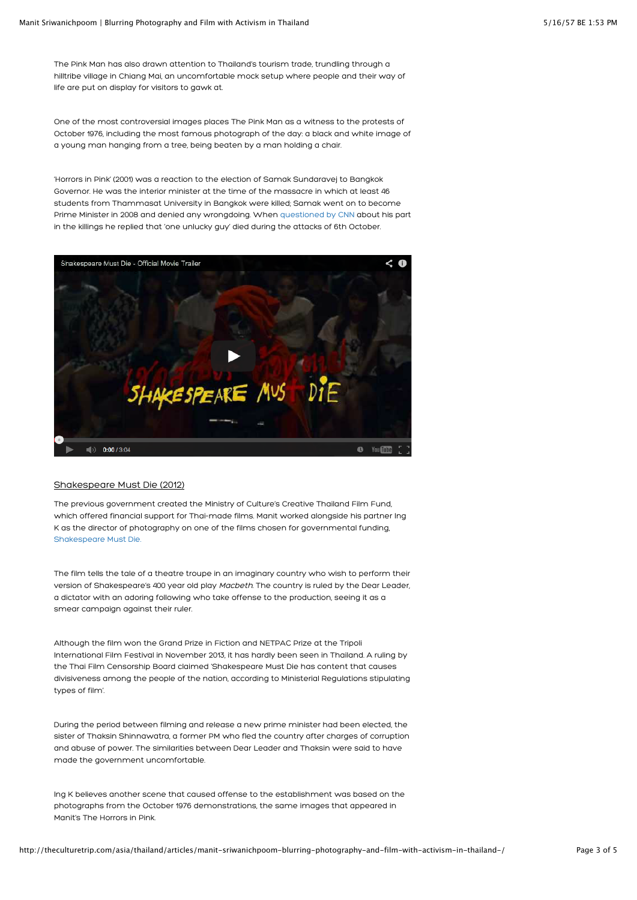The Pink Man has also drawn attention to Thailand's tourism trade, trundling through a hilltribe village in Chiang Mai, an uncomfortable mock setup where people and their way of life are put on display for visitors to gawk at.

One of the most controversial images places The Pink Man as a witness to the protests of October 1976, including the most famous photograph of the day: a black and white image of a young man hanging from a tree, being beaten by a man holding a chair.

'Horrors in Pink' (2001) was a reaction to the election of Samak Sundaravej to Bangkok Governor. He was the interior minister at the time of the massacre in which at least 46 students from Thammasat University in Bangkok were killed; Samak went on to become Prime Minister in 2008 and denied any wrongdoing. When [questioned by CNN](http://edition.cnn.com/2008/WORLD/asiapcf/02/18/talkasia.samak/index.html?iref=24hours) about his part in the killings he replied that 'one unlucky guy' died during the attacks of 6th October.



## Shakespeare Must Die (2012)

The previous government created the Ministry of Culture's Creative Thailand Film Fund, which offered financial support for Thai-made films. Manit worked alongside his partner Ing K as the director of photography on one of the films chosen for governmental funding, [Shakespeare Must Die.](http://www.shakespearemustdie.com/)

The film tells the tale of a theatre troupe in an imaginary country who wish to perform their version of Shakespeare's 400 year old play Macbeth. The country is ruled by the Dear Leader, a dictator with an adoring following who take offense to the production, seeing it as a smear campaign against their ruler.

Although the film won the Grand Prize in Fiction and NETPAC Prize at the Tripoli International Film Festival in November 2013, it has hardly been seen in Thailand. A ruling by the Thai Film Censorship Board claimed 'Shakespeare Must Die has content that causes divisiveness among the people of the nation, according to Ministerial Regulations stipulating types of film'.

During the period between filming and release a new prime minister had been elected, the sister of Thaksin Shinnawatra, a former PM who fled the country after charges of corruption and abuse of power. The similarities between Dear Leader and Thaksin were said to have made the government uncomfortable.

Ing K believes another scene that caused offense to the establishment was based on the photographs from the October 1976 demonstrations, the same images that appeared in Manit's The Horrors in Pink.